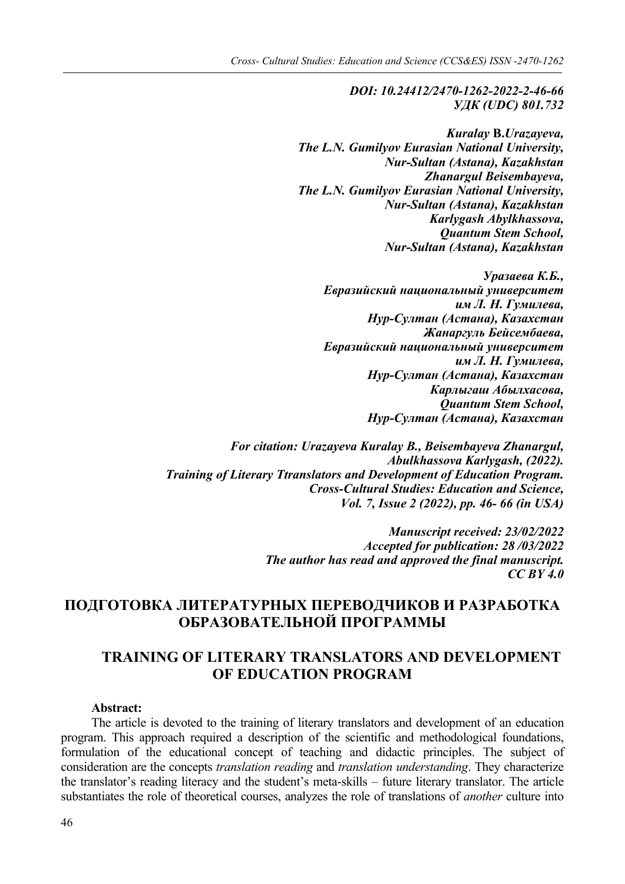*DOI: 10.24412/2470-1262-2022-2-46-66 УДК (UDC) 801.732*

*Kuralay* **B.***Urazayeva, The L.N. Gumilyov Eurasian National University, Nur-Sultan (Astana), Kazakhstan Zhanargul Beisembayeva, The L.N. Gumilyov Eurasian National University, Nur-Sultan (Astana), Kazakhstan Karlygash Abylkhassova, Quantum Stem School, Nur-Sultan (Astana), Kazakhstan*

*Уразаева К.Б., Евразийский национальный университет им Л. Н. Гумилева, Нур-Султан (Астана), Казахстан Жанаргуль Бейсембаева, Евразийский национальный университет им Л. Н. Гумилева, Нур-Султан (Астана), Казахстан Карлыгаш Абылхасова, Quantum Stem School, Нур-Султан (Астана), Казахстан*

*For citation: Urazayeva Kuralay B., Beisembayeva Zhanargul, Abulkhassova Karlygash, (2022). Training of Literary Ttranslators and Development of Education Program. Cross-Cultural Studies: Education and Science, Vol. 7, Issue 2 (2022), pp. 46- 66 (in USA)*

> *Manuscript received: 23/02/2022 Accepted for publication: 28 /03/2022 The author has read and approved the final manuscript. CC BY 4.0*

# **ПОДГОТОВКА ЛИТЕРАТУРНЫХ ПЕРЕВОДЧИКОВ И РАЗРАБОТКА ОБРАЗОВАТЕЛЬНОЙ ПРОГРАММЫ**

## **TRAINING OF LITERARY TRANSLATORS AND DEVELOPMENT OF EDUCATION PROGRAM**

#### **Abstract:**

The article is devoted to the training of literary translators and development of an education program. This approach required a description of the scientific and methodological foundations, formulation of the educational concept of teaching and didactic principles. The subject of consideration are the concepts *translation reading* and *translation understanding*. They characterize the translator's reading literacy and the student's meta-skills – future literary translator. The article substantiates the role of theoretical courses, analyzes the role of translations of *another* culture into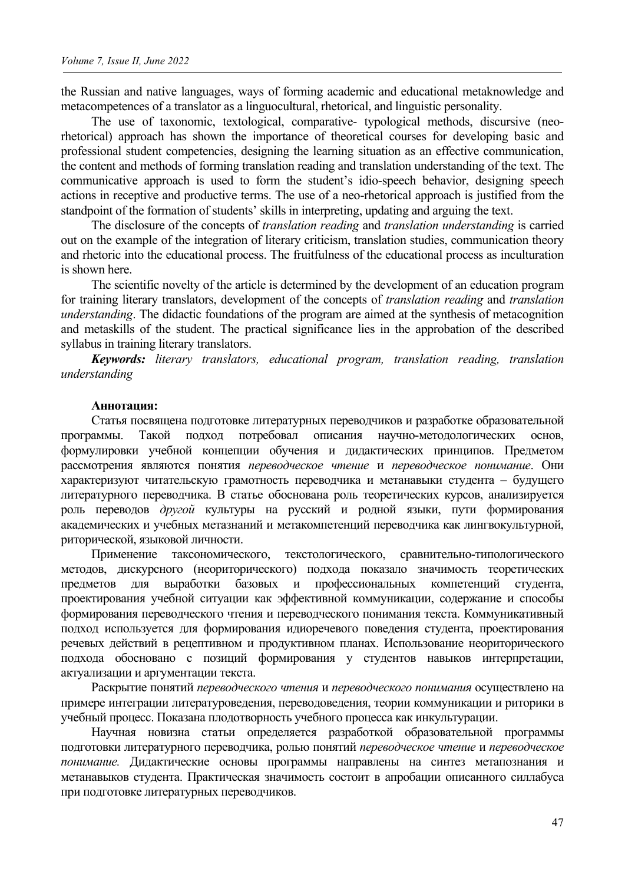the Russian and native languages, ways of forming academic and educational metaknowledge and metacompetences of a translator as a linguocultural, rhetorical, and linguistic personality.

The use of taxonomic, textological, comparative- typological methods, discursive (neorhetorical) approach has shown the importance of theoretical courses for developing basic and professional student competencies, designing the learning situation as an effective communication, the content and methods of forming translation reading and translation understanding of the text. The communicative approach is used to form the student's idio-speech behavior, designing speech actions in receptive and productive terms. The use of a neo-rhetorical approach is justified from the standpoint of the formation of students' skills in interpreting, updating and arguing the text.

The disclosure of the concepts of *translation reading* and *translation understanding* is carried out on the example of the integration of literary criticism, translation studies, communication theory and rhetoric into the educational process. The fruitfulness of the educational process as inculturation is shown here.

The scientific novelty of the article is determined by the development of an education program for training literary translators, development of the concepts of *translation reading* and *translation understanding*. The didactic foundations of the program are aimed at the synthesis of metacognition and metaskills of the student. The practical significance lies in the approbation of the described syllabus in training literary translators.

*Keywords: literary translators, educational program, translation reading, translation understanding*

#### **Аннотация:**

Статья посвящена подготовке литературных переводчиков и разработке образовательной программы. Такой подход потребовал описания научно-методологических основ, формулировки учебной концепции обучения и дидактических принципов. Предметом рассмотрения являются понятия *переводческое чтение* и *переводческое понимание*. Они характеризуют читательскую грамотность переводчика и метанавыки студента – будущего литературного переводчика. В статье обоснована роль теоретических курсов, анализируется роль переводов *другой* культуры на русский и родной языки, пути формирования академических и учебных метазнаний и метакомпетенций переводчика как лингвокультурной, риторической, языковой личности.

Применение таксономического, текстологического, сравнительно-типологического методов, дискурсного (неориторического) подхода показало значимость теоретических предметов для выработки базовых и профессиональных компетенций студента, проектирования учебной ситуации как эффективной коммуникации, содержание и способы формирования переводческого чтения и переводческого понимания текста. Коммуникативный подход используется для формирования идиоречевого поведения студента, проектирования речевых действий в рецептивном и продуктивном планах. Использование неориторического подхода обосновано с позиций формирования у студентов навыков интерпретации, актуализации и аргументации текста.

Раскрытие понятий *переводческого чтения* и *переводческого понимания* осуществлено на примере интеграции литературоведения, переводоведения, теории коммуникации и риторики в учебный процесс. Показана плодотворность учебного процесса как инкультурации.

Научная новизна статьи определяется разработкой образовательной программы подготовки литературного переводчика, ролью понятий *переводческое чтение* и *переводческое понимание.* Дидактические основы программы направлены на синтез метапознания и метанавыков студента. Практическая значимость состоит в апробации описанного силлабуса при подготовке литературных переводчиков.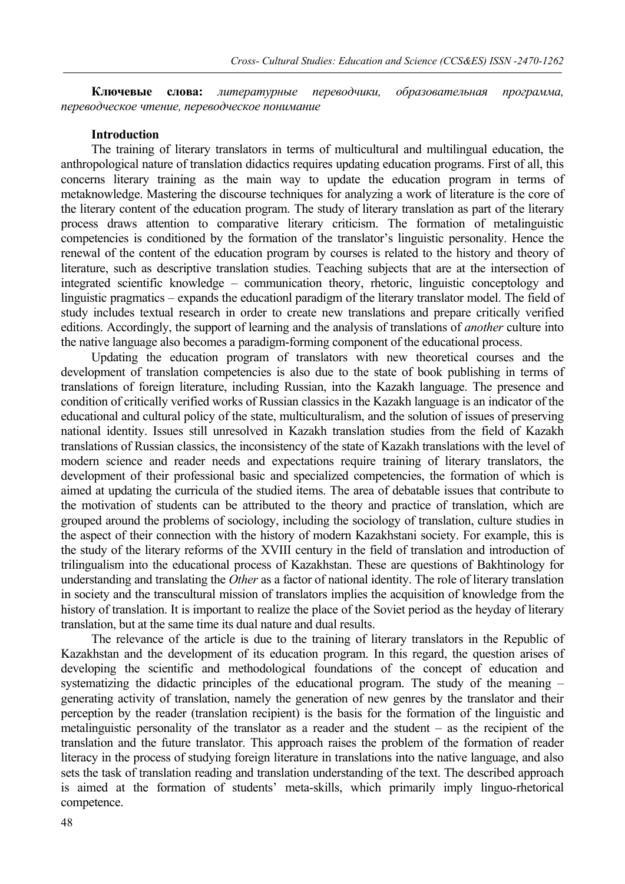**Ключевые слова:** *литературные переводчики, образовательная программа, переводческое чтение, переводческое понимание*

### **Introduction**

The training of literary translators in terms of multicultural and multilingual education, the anthropological nature of translation didactics requires updating education programs. First of all, this concerns literary training as the main way to update the education program in terms of metaknowledge. Mastering the discourse techniques for analyzing a work of literature is the core of the literary content of the education program. The study of literary translation as part of the literary process draws attention to comparative literary criticism. The formation of metalinguistic competencies is conditioned by the formation of the translator's linguistic personality. Hence the renewal of the content of the education program by courses is related to the history and theory of literature, such as descriptive translation studies. Teaching subjects that are at the intersection of integrated scientific knowledge – communication theory, rhetoric, linguistic conceptology and linguistic pragmatics – expands the educationl paradigm of the literary translator model. The field of study includes textual research in order to create new translations and prepare critically verified editions. Accordingly, the support of learning and the analysis of translations of *another* culture into the native language also becomes a paradigm-forming component of the educational process.

Updating the education program of translators with new theoretical courses and the development of translation competencies is also due to the state of book publishing in terms of translations of foreign literature, including Russian, into the Kazakh language. The presence and condition of critically verified works of Russian classics in the Kazakh language is an indicator of the educational and cultural policy of the state, multiculturalism, and the solution of issues of preserving national identity. Issues still unresolved in Kazakh translation studies from the field of Kazakh translations of Russian classics, the inconsistency of the state of Kazakh translations with the level of modern science and reader needs and expectations require training of literary translators, the development of their professional basic and specialized competencies, the formation of which is aimed at updating the curricula of the studied items. The area of debatable issues that contribute to the motivation of students can be attributed to the theory and practice of translation, which are grouped around the problems of sociology, including the sociology of translation, culture studies in the aspect of their connection with the history of modern Kazakhstani society. For example, this is the study of the literary reforms of the XVIII century in the field of translation and introduction of trilingualism into the educational process of Kazakhstan. These are questions of Bakhtinology for understanding and translating the *Other* as a factor of national identity. The role of literary translation in society and the transcultural mission of translators implies the acquisition of knowledge from the history of translation. It is important to realize the place of the Soviet period as the heyday of literary translation, but at the same time its dual nature and dual results.

The relevance of the article is due to the training of literary translators in the Republic of Kazakhstan and the development of its education program. In this regard, the question arises of developing the scientific and methodological foundations of the concept of education and systematizing the didactic principles of the educational program. The study of the meaning – generating activity of translation, namely the generation of new genres by the translator and their perception by the reader (translation recipient) is the basis for the formation of the linguistic and metalinguistic personality of the translator as a reader and the student – as the recipient of the translation and the future translator. This approach raises the problem of the formation of reader literacy in the process of studying foreign literature in translations into the native language, and also sets the task of translation reading and translation understanding of the text. The described approach is aimed at the formation of students' meta-skills, which primarily imply linguo-rhetorical competence.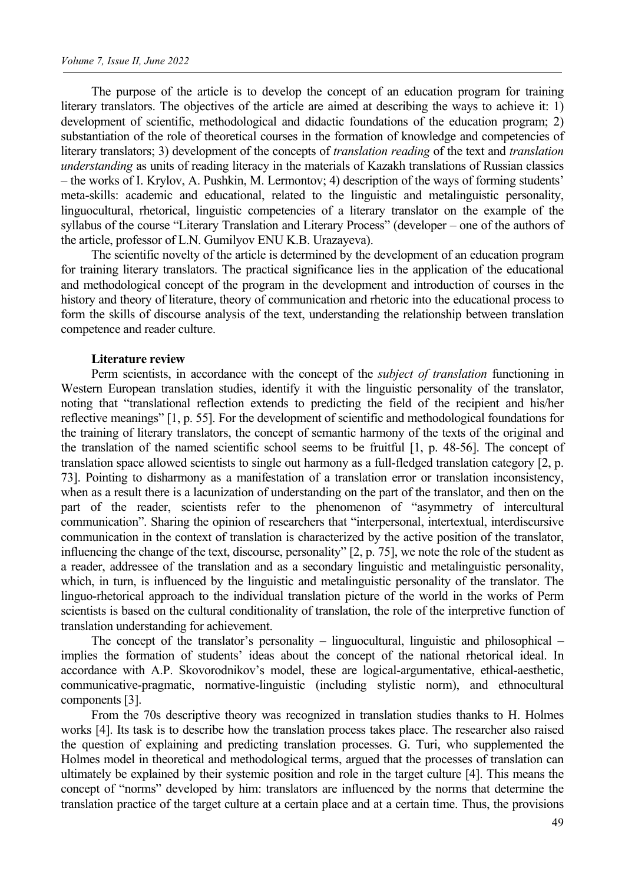The purpose of the article is to develop the concept of an education program for training literary translators. The objectives of the article are aimed at describing the ways to achieve it: 1) development of scientific, methodological and didactic foundations of the education program; 2) substantiation of the role of theoretical courses in the formation of knowledge and competencies of literary translators; 3) development of the concepts of *translation reading* of the text and *translation understanding* as units of reading literacy in the materials of Kazakh translations of Russian classics – the works of I. Krylov, A. Pushkin, M. Lermontov; 4) description of the ways of forming students' meta-skills: academic and educational, related to the linguistic and metalinguistic personality, linguocultural, rhetorical, linguistic competencies of a literary translator on the example of the syllabus of the course "Literary Translation and Literary Process" (developer – one of the authors of the article, professor of L.N. Gumilyov ENU K.B. Urazayeva).

The scientific novelty of the article is determined by the development of an education program for training literary translators. The practical significance lies in the application of the educational and methodological concept of the program in the development and introduction of courses in the history and theory of literature, theory of communication and rhetoric into the educational process to form the skills of discourse analysis of the text, understanding the relationship between translation competence and reader culture.

#### **Literature review**

Perm scientists, in accordance with the concept of the *subject of translation* functioning in Western European translation studies, identify it with the linguistic personality of the translator, noting that "translational reflection extends to predicting the field of the recipient and his/her reflective meanings" [1, p. 55]. For the development of scientific and methodological foundations for the training of literary translators, the concept of semantic harmony of the texts of the original and the translation of the named scientific school seems to be fruitful [1, p. 48-56]. The concept of translation space allowed scientists to single out harmony as a full-fledged translation category [2, p. 73]. Pointing to disharmony as a manifestation of a translation error or translation inconsistency, when as a result there is a lacunization of understanding on the part of the translator, and then on the part of the reader, scientists refer to the phenomenon of "asymmetry of intercultural communication". Sharing the opinion of researchers that "interpersonal, intertextual, interdiscursive communication in the context of translation is characterized by the active position of the translator, influencing the change of the text, discourse, personality" [2, p. 75], we note the role of the student as a reader, addressee of the translation and as a secondary linguistic and metalinguistic personality, which, in turn, is influenced by the linguistic and metalinguistic personality of the translator. The linguo-rhetorical approach to the individual translation picture of the world in the works of Perm scientists is based on the cultural conditionality of translation, the role of the interpretive function of translation understanding for achievement.

The concept of the translator's personality – linguocultural, linguistic and philosophical – implies the formation of students' ideas about the concept of the national rhetorical ideal. In accordance with A.P. Skovorodnikov's model, these are logical-argumentative, ethical-aesthetic, communicative-pragmatic, normative-linguistic (including stylistic norm), and ethnocultural components [3].

From the 70s descriptive theory was recognized in translation studies thanks to H. Holmes works [4]. Its task is to describe how the translation process takes place. The researcher also raised the question of explaining and predicting translation processes. G. Turi, who supplemented the Holmes model in theoretical and methodological terms, argued that the processes of translation can ultimately be explained by their systemic position and role in the target culture [4]. This means the concept of "norms" developed by him: translators are influenced by the norms that determine the translation practice of the target culture at a certain place and at a certain time. Thus, the provisions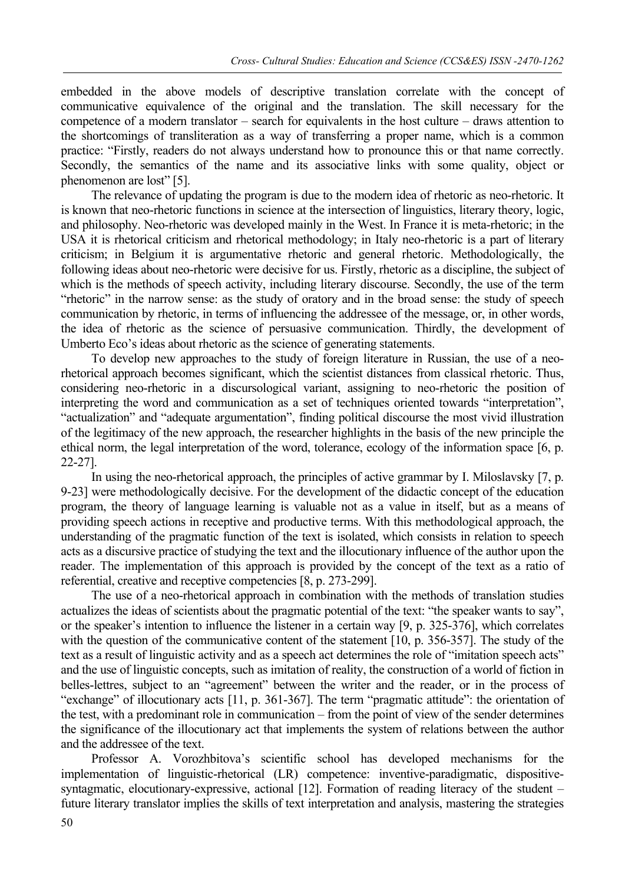embedded in the above models of descriptive translation correlate with the concept of communicative equivalence of the original and the translation. The skill necessary for the competence of a modern translator – search for equivalents in the host culture – draws attention to the shortcomings of transliteration as a way of transferring a proper name, which is a common practice: "Firstly, readers do not always understand how to pronounce this or that name correctly. Secondly, the semantics of the name and its associative links with some quality, object or phenomenon are lost" [5].

The relevance of updating the program is due to the modern idea of rhetoric as neo-rhetoric. It is known that neo-rhetoric functions in science at the intersection of linguistics, literary theory, logic, and philosophy. Neo-rhetoric was developed mainly in the West. In France it is meta-rhetoric; in the USA it is rhetorical criticism and rhetorical methodology; in Italy neo-rhetoric is a part of literary criticism; in Belgium it is argumentative rhetoric and general rhetoric. Methodologically, the following ideas about neo-rhetoric were decisive for us. Firstly, rhetoric as a discipline, the subject of which is the methods of speech activity, including literary discourse. Secondly, the use of the term "rhetoric" in the narrow sense: as the study of oratory and in the broad sense: the study of speech communication by rhetoric, in terms of influencing the addressee of the message, or, in other words, the idea of rhetoric as the science of persuasive communication. Thirdly, the development of Umberto Eco's ideas about rhetoric as the science of generating statements.

To develop new approaches to the study of foreign literature in Russian, the use of a neorhetorical approach becomes significant, which the scientist distances from classical rhetoric. Thus, considering neo-rhetoric in a discursological variant, assigning to neo-rhetoric the position of interpreting the word and communication as a set of techniques oriented towards "interpretation", "actualization" and "adequate argumentation", finding political discourse the most vivid illustration of the legitimacy of the new approach, the researcher highlights in the basis of the new principle the ethical norm, the legal interpretation of the word, tolerance, ecology of the information space [6, p. 22-27].

In using the neo-rhetorical approach, the principles of active grammar by I. Miloslavsky [7, p. 9-23] were methodologically decisive. For the development of the didactic concept of the education program, the theory of language learning is valuable not as a value in itself, but as a means of providing speech actions in receptive and productive terms. With this methodological approach, the understanding of the pragmatic function of the text is isolated, which consists in relation to speech acts as a discursive practice of studying the text and the illocutionary influence of the author upon the reader. The implementation of this approach is provided by the concept of the text as a ratio of referential, creative and receptive competencies [8, p. 273-299].

The use of a neo-rhetorical approach in combination with the methods of translation studies actualizes the ideas of scientists about the pragmatic potential of the text: "the speaker wants to say", or the speaker's intention to influence the listener in a certain way [9, p. 325-376], which correlates with the question of the communicative content of the statement [10, p. 356-357]. The study of the text as a result of linguistic activity and as a speech act determines the role of "imitation speech acts" and the use of linguistic concepts, such as imitation of reality, the construction of a world of fiction in belles-lettres, subject to an "agreement" between the writer and the reader, or in the process of "exchange" of illocutionary acts [11, p. 361-367]. The term "pragmatic attitude": the orientation of the test, with a predominant role in communication – from the point of view of the sender determines the significance of the illocutionary act that implements the system of relations between the author and the addressee of the text.

Professor A. Vorozhbitova's scientific school has developed mechanisms for the implementation of linguistic-rhetorical (LR) competence: inventive-paradigmatic, dispositivesyntagmatic, elocutionary-expressive, actional [12]. Formation of reading literacy of the student – future literary translator implies the skills of text interpretation and analysis, mastering the strategies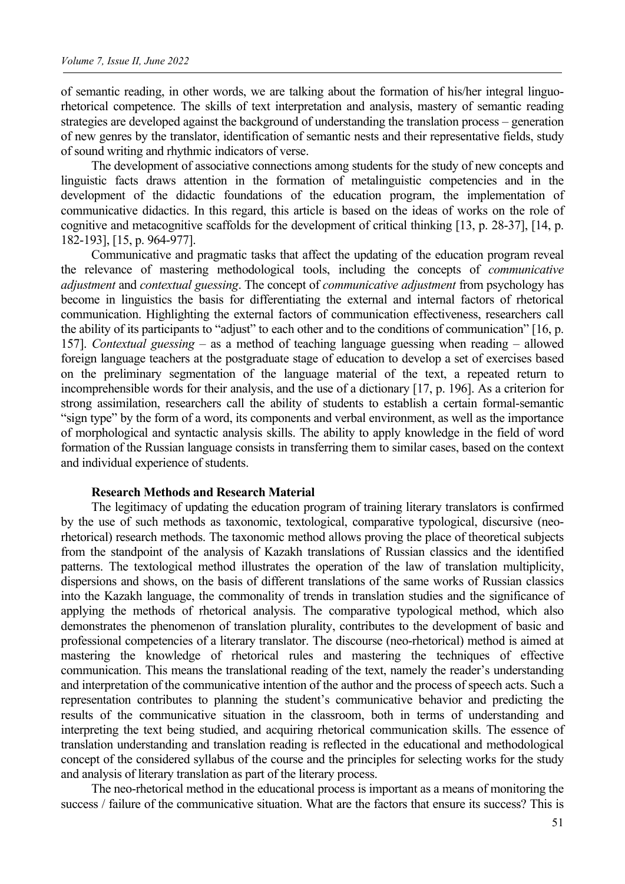of semantic reading, in other words, we are talking about the formation of his/her integral linguorhetorical competence. The skills of text interpretation and analysis, mastery of semantic reading strategies are developed against the background of understanding the translation process – generation of new genres by the translator, identification of semantic nests and their representative fields, study of sound writing and rhythmic indicators of verse.

The development of associative connections among students for the study of new concepts and linguistic facts draws attention in the formation of metalinguistic competencies and in the development of the didactic foundations of the education program, the implementation of communicative didactics. In this regard, this article is based on the ideas of works on the role of cognitive and metacognitive scaffolds for the development of critical thinking [13, p. 28-37], [14, p. 182-193], [15, p. 964-977].

Communicative and pragmatic tasks that affect the updating of the education program reveal the relevance of mastering methodological tools, including the concepts of *communicative adjustment* and *contextual guessing*. The concept of *communicative adjustment* from psychology has become in linguistics the basis for differentiating the external and internal factors of rhetorical communication. Highlighting the external factors of communication effectiveness, researchers call the ability of its participants to "adjust" to each other and to the conditions of communication" [16, p. 157]. *Contextual guessing* – as a method of teaching language guessing when reading – allowed foreign language teachers at the postgraduate stage of education to develop a set of exercises based on the preliminary segmentation of the language material of the text, a repeated return to incomprehensible words for their analysis, and the use of a dictionary [17, p. 196]. As a criterion for strong assimilation, researchers call the ability of students to establish a certain formal-semantic "sign type" by the form of a word, its components and verbal environment, as well as the importance of morphological and syntactic analysis skills. The ability to apply knowledge in the field of word formation of the Russian language consists in transferring them to similar cases, based on the context and individual experience of students.

#### **Research Methods and Research Material**

The legitimacy of updating the education program of training literary translators is confirmed by the use of such methods as taxonomic, textological, comparative typological, discursive (neorhetorical) research methods. The taxonomic method allows proving the place of theoretical subjects from the standpoint of the analysis of Kazakh translations of Russian classics and the identified patterns. The textological method illustrates the operation of the law of translation multiplicity, dispersions and shows, on the basis of different translations of the same works of Russian classics into the Kazakh language, the commonality of trends in translation studies and the significance of applying the methods of rhetorical analysis. The comparative typological method, which also demonstrates the phenomenon of translation plurality, contributes to the development of basic and professional competencies of a literary translator. The discourse (neo-rhetorical) method is aimed at mastering the knowledge of rhetorical rules and mastering the techniques of effective communication. This means the translational reading of the text, namely the reader's understanding and interpretation of the communicative intention of the author and the process of speech acts. Such a representation contributes to planning the student's communicative behavior and predicting the results of the communicative situation in the classroom, both in terms of understanding and interpreting the text being studied, and acquiring rhetorical communication skills. The essence of translation understanding and translation reading is reflected in the educational and methodological concept of the considered syllabus of the course and the principles for selecting works for the study and analysis of literary translation as part of the literary process.

The neo-rhetorical method in the educational process is important as a means of monitoring the success / failure of the communicative situation. What are the factors that ensure its success? This is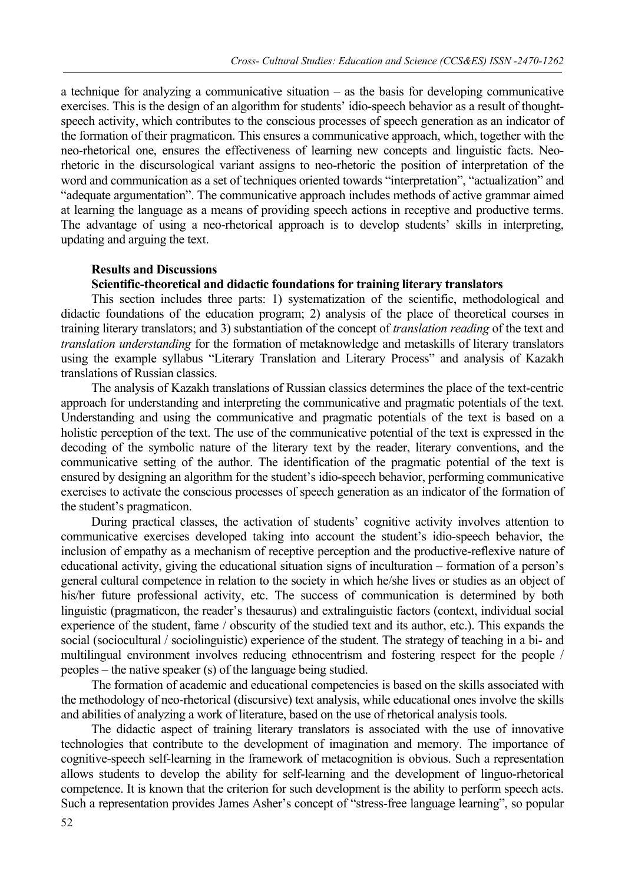a technique for analyzing a communicative situation – as the basis for developing communicative exercises. This is the design of an algorithm for students' idio-speech behavior as a result of thoughtspeech activity, which contributes to the conscious processes of speech generation as an indicator of the formation of their pragmaticon. This ensures a communicative approach, which, together with the neo-rhetorical one, ensures the effectiveness of learning new concepts and linguistic facts. Neorhetoric in the discursological variant assigns to neo-rhetoric the position of interpretation of the word and communication as a set of techniques oriented towards "interpretation", "actualization" and "adequate argumentation". The communicative approach includes methods of active grammar aimed at learning the language as a means of providing speech actions in receptive and productive terms. The advantage of using a neo-rhetorical approach is to develop students' skills in interpreting, updating and arguing the text.

#### **Results and Discussions**

### **Scientific-theoretical and didactic foundations for training literary translators**

This section includes three parts: 1) systematization of the scientific, methodological and didactic foundations of the education program; 2) analysis of the place of theoretical courses in training literary translators; and 3) substantiation of the concept of *translation reading* of the text and *translation understanding* for the formation of metaknowledge and metaskills of literary translators using the example syllabus "Literary Translation and Literary Process" and analysis of Kazakh translations of Russian classics.

The analysis of Kazakh translations of Russian classics determines the place of the text-centric approach for understanding and interpreting the communicative and pragmatic potentials of the text. Understanding and using the communicative and pragmatic potentials of the text is based on a holistic perception of the text. The use of the communicative potential of the text is expressed in the decoding of the symbolic nature of the literary text by the reader, literary conventions, and the communicative setting of the author. The identification of the pragmatic potential of the text is ensured by designing an algorithm for the student's idio-speech behavior, performing communicative exercises to activate the conscious processes of speech generation as an indicator of the formation of the student's pragmaticon.

During practical classes, the activation of students' cognitive activity involves attention to communicative exercises developed taking into account the student's idio-speech behavior, the inclusion of empathy as a mechanism of receptive perception and the productive-reflexive nature of educational activity, giving the educational situation signs of inculturation – formation of a person's general cultural competence in relation to the society in which he/she lives or studies as an object of his/her future professional activity, etc. The success of communication is determined by both linguistic (pragmaticon, the reader's thesaurus) and extralinguistic factors (context, individual social experience of the student, fame / obscurity of the studied text and its author, etc.). This expands the social (sociocultural / sociolinguistic) experience of the student. The strategy of teaching in a bi- and multilingual environment involves reducing ethnocentrism and fostering respect for the people / peoples – the native speaker (s) of the language being studied.

The formation of academic and educational competencies is based on the skills associated with the methodology of neo-rhetorical (discursive) text analysis, while educational ones involve the skills and abilities of analyzing a work of literature, based on the use of rhetorical analysis tools.

The didactic aspect of training literary translators is associated with the use of innovative technologies that contribute to the development of imagination and memory. The importance of cognitive-speech self-learning in the framework of metacognition is obvious. Such a representation allows students to develop the ability for self-learning and the development of linguo-rhetorical competence. It is known that the criterion for such development is the ability to perform speech acts. Such a representation provides James Asher's concept of "stress-free language learning", so popular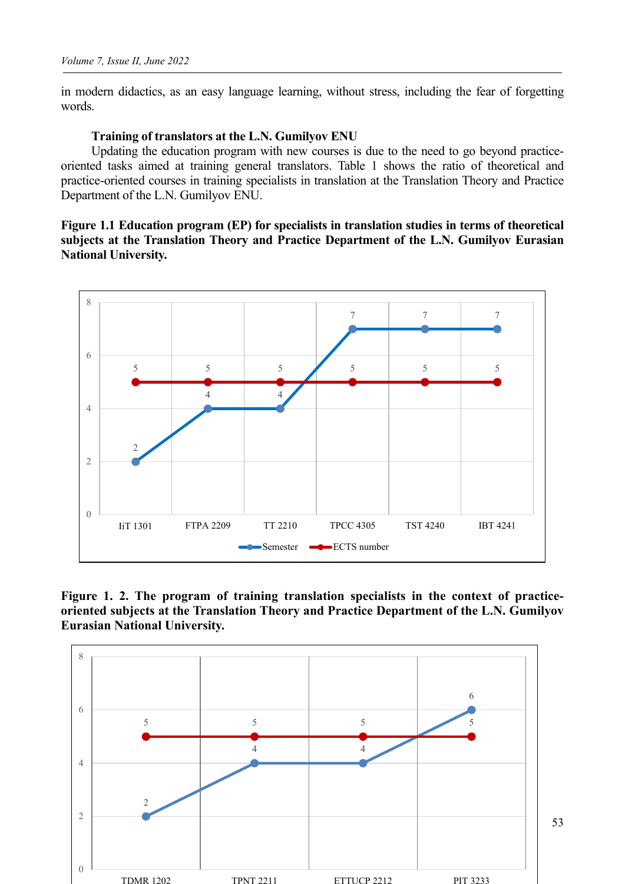in modern didactics, as an easy language learning, without stress, including the fear of forgetting words.

### **Training of translators at the L.N. Gumilyov ENU**

Updating the education program with new courses is due to the need to go beyond practiceoriented tasks aimed at training general translators. Table 1 shows the ratio of theoretical and practice-oriented courses in training specialists in translation at the Translation Theory and Practice Department of the L.N. Gumilyov ENU.

**Figure 1.1 Education program (EP) for specialists in translation studies in terms of theoretical subjects at the Translation Theory and Practice Department of the L.N. Gumilyov Eurasian National University.**



**Figure 1. 2. The program of training translation specialists in the context of practiceoriented subjects at the Translation Theory and Practice Department of the L.N. Gumilyov Eurasian National University.**

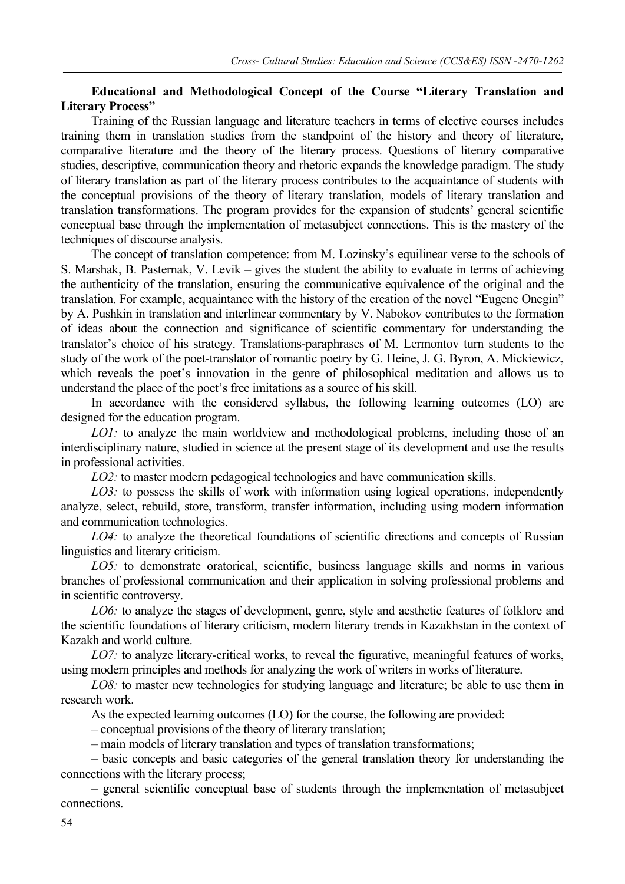### **Educational and Methodological Concept of the Course "Literary Translation and Literary Process"**

Training of the Russian language and literature teachers in terms of elective courses includes training them in translation studies from the standpoint of the history and theory of literature, comparative literature and the theory of the literary process. Questions of literary comparative studies, descriptive, communication theory and rhetoric expands the knowledge paradigm. The study of literary translation as part of the literary process contributes to the acquaintance of students with the conceptual provisions of the theory of literary translation, models of literary translation and translation transformations. The program provides for the expansion of students' general scientific conceptual base through the implementation of metasubject connections. This is the mastery of the techniques of discourse analysis.

The concept of translation competence: from M. Lozinsky's equilinear verse to the schools of S. Marshak, B. Pasternak, V. Levik – gives the student the ability to evaluate in terms of achieving the authenticity of the translation, ensuring the communicative equivalence of the original and the translation. For example, acquaintance with the history of the creation of the novel "Eugene Onegin" by A. Pushkin in translation and interlinear commentary by V. Nabokov contributes to the formation of ideas about the connection and significance of scientific commentary for understanding the translator's choice of his strategy. Translations-paraphrases of M. Lermontov turn students to the study of the work of the poet-translator of romantic poetry by G. Heine, J. G. Byron, A. Mickiewicz, which reveals the poet's innovation in the genre of philosophical meditation and allows us to understand the place of the poet's free imitations as a source of his skill.

In accordance with the considered syllabus, the following learning outcomes (LO) are designed for the education program.

*LO1:* to analyze the main worldview and methodological problems, including those of an interdisciplinary nature, studied in science at the present stage of its development and use the results in professional activities.

*LO2:* to master modern pedagogical technologies and have communication skills.

*LO3:* to possess the skills of work with information using logical operations, independently analyze, select, rebuild, store, transform, transfer information, including using modern information and communication technologies.

*LO4:* to analyze the theoretical foundations of scientific directions and concepts of Russian linguistics and literary criticism.

*LO5:* to demonstrate oratorical, scientific, business language skills and norms in various branches of professional communication and their application in solving professional problems and in scientific controversy.

*LO6:* to analyze the stages of development, genre, style and aesthetic features of folklore and the scientific foundations of literary criticism, modern literary trends in Kazakhstan in the context of Kazakh and world culture.

*LO7:* to analyze literary-critical works, to reveal the figurative, meaningful features of works, using modern principles and methods for analyzing the work of writers in works of literature.

*LO8:* to master new technologies for studying language and literature; be able to use them in research work.

As the expected learning outcomes (LO) for the course, the following are provided:

– conceptual provisions of the theory of literary translation;

– main models of literary translation and types of translation transformations;

– basic concepts and basic categories of the general translation theory for understanding the connections with the literary process;

– general scientific conceptual base of students through the implementation of metasubject connections.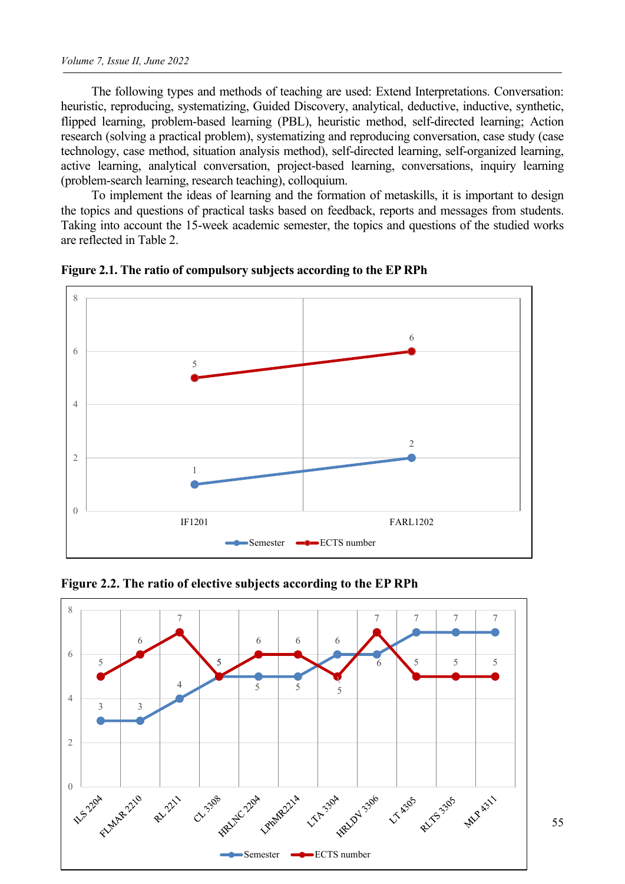The following types and methods of teaching are used: Extend Interpretations. Conversation: heuristic, reproducing, systematizing, Guided Discovery, analytical, deductive, inductive, synthetic, flipped learning, problem-based learning (PBL), heuristic method, self-directed learning; Action research (solving a practical problem), systematizing and reproducing conversation, case study (case technology, case method, situation analysis method), self-directed learning, self-organized learning, active learning, analytical conversation, project-based learning, conversations, inquiry learning (problem-search learning, research teaching), colloquium.

To implement the ideas of learning and the formation of metaskills, it is important to design the topics and questions of practical tasks based on feedback, reports and messages from students. Taking into account the 15-week academic semester, the topics and questions of the studied works are reflected in Table 2.



**Figure 2.1. The ratio of compulsory subjects according to the EP RPh**

**Figure 2.2. The ratio of elective subjects according to the EP RPh**

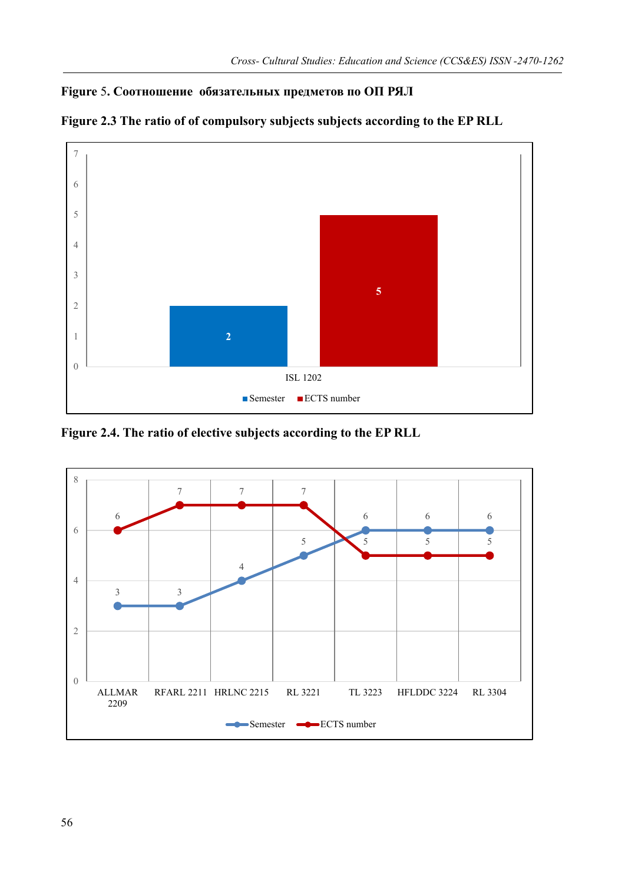## **Figure** 5**. Соотношение обязательных предметов по ОП РЯЛ**



**Figure 2.3 The ratio of of compulsory subjects subjects according to the EP RLL**

**Figure 2.4. The ratio of elective subjects according to the EP RLL**

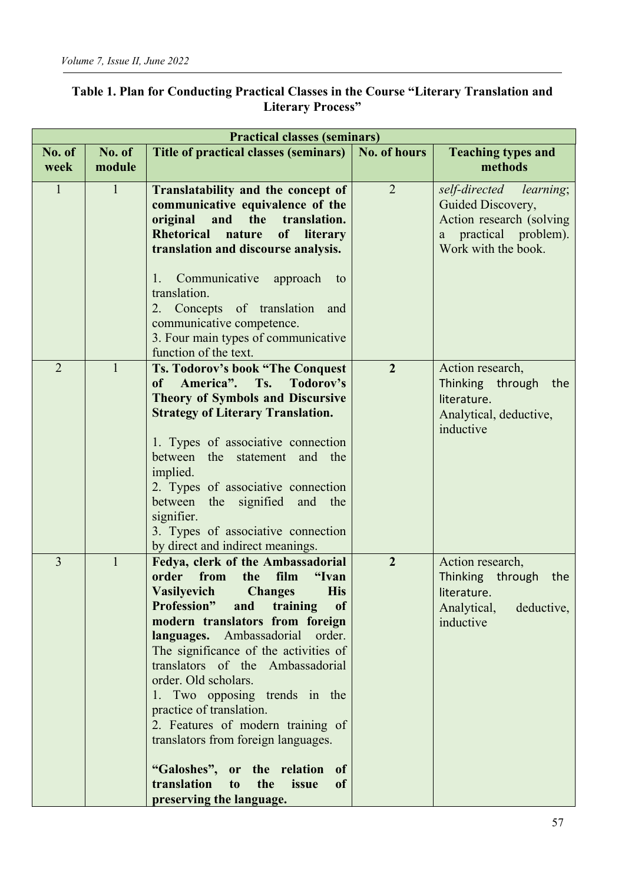| <b>Practical classes (seminars)</b> |                                                                                                                                                                                                                                                                                                                                                                                                                                                                                                                                                                                                                                         |                |                                                                                                                                     |  |
|-------------------------------------|-----------------------------------------------------------------------------------------------------------------------------------------------------------------------------------------------------------------------------------------------------------------------------------------------------------------------------------------------------------------------------------------------------------------------------------------------------------------------------------------------------------------------------------------------------------------------------------------------------------------------------------------|----------------|-------------------------------------------------------------------------------------------------------------------------------------|--|
| No. of<br>No. of<br>module<br>week  | Title of practical classes (seminars)                                                                                                                                                                                                                                                                                                                                                                                                                                                                                                                                                                                                   | No. of hours   | <b>Teaching types and</b><br>methods                                                                                                |  |
| $\mathbf{1}$<br>$\mathbf{1}$        | Translatability and the concept of<br>communicative equivalence of the<br>original<br>and<br>the<br>translation.<br><b>Rhetorical</b><br>of<br>literary<br>nature<br>translation and discourse analysis.<br>Communicative approach<br>1.<br>to<br>translation.<br>2. Concepts of translation<br>and<br>communicative competence.<br>3. Four main types of communicative<br>function of the text.                                                                                                                                                                                                                                        | $\overline{2}$ | self-directed<br><i>learning</i> ;<br>Guided Discovery,<br>Action research (solving<br>a practical problem).<br>Work with the book. |  |
| $\overline{2}$<br>$\mathbf{1}$      | Ts. Todorov's book "The Conquest<br>of America". Ts.<br>Todorov's<br><b>Theory of Symbols and Discursive</b><br><b>Strategy of Literary Translation.</b><br>1. Types of associative connection<br>between<br>the<br>statement and the<br>implied.<br>2. Types of associative connection<br>the signified and<br>between<br>the<br>signifier.<br>3. Types of associative connection<br>by direct and indirect meanings.                                                                                                                                                                                                                  | $\overline{2}$ | Action research,<br>Thinking through<br>the<br>literature.<br>Analytical, deductive,<br>inductive                                   |  |
| 3<br>$\mathbf{1}$                   | Fedya, clerk of the Ambassadorial<br>order from<br>film<br>"Ivan<br>the<br><b>Vasilyevich</b><br><b>Changes</b><br><b>His</b><br><b>Profession</b> "<br>training<br>of<br>and<br>modern translators from foreign<br>languages. Ambassadorial order.<br>The significance of the activities of<br>translators of the Ambassadorial<br>order. Old scholars.<br>1. Two opposing trends in the<br>practice of translation.<br>2. Features of modern training of<br>translators from foreign languages.<br>"Galoshes",<br>or the relation<br>of<br>translation<br>the<br>issue<br>t <sub>0</sub><br><sub>of</sub><br>preserving the language. | $\overline{2}$ | Action research,<br>Thinking through<br>the<br>literature.<br>Analytical,<br>deductive,<br>inductive                                |  |

## **Table 1. Plan for Conducting Practical Classes in the Course "Literary Translation and Literary Process"**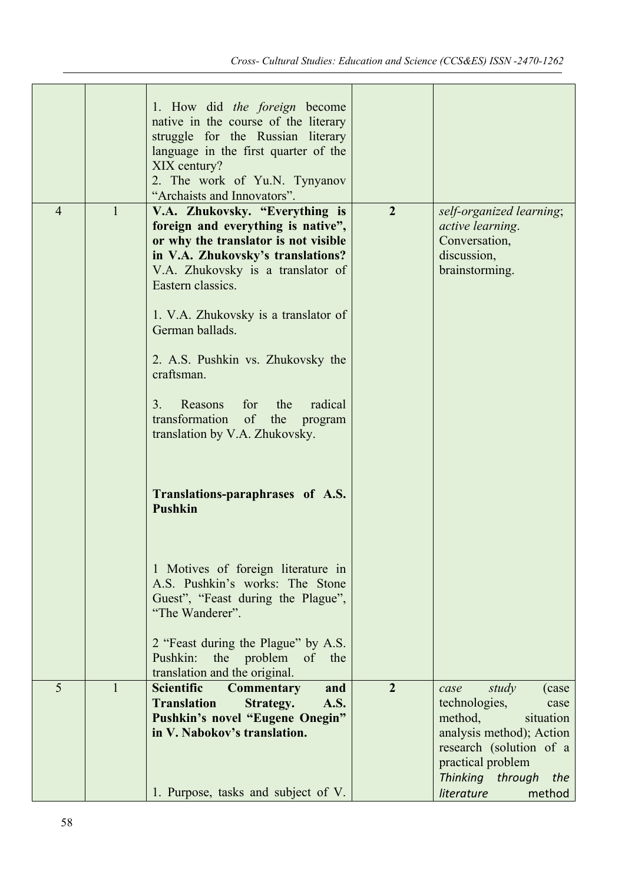|                |              | 1. How did the foreign become<br>native in the course of the literary<br>struggle for the Russian literary<br>language in the first quarter of the<br>XIX century?<br>2. The work of Yu.N. Tynyanov<br>"Archaists and Innovators".                                                                                                                                                                                                                                                                                                                                                                                                                                                                                                                   |                |                                                                                                                                                                                                            |
|----------------|--------------|------------------------------------------------------------------------------------------------------------------------------------------------------------------------------------------------------------------------------------------------------------------------------------------------------------------------------------------------------------------------------------------------------------------------------------------------------------------------------------------------------------------------------------------------------------------------------------------------------------------------------------------------------------------------------------------------------------------------------------------------------|----------------|------------------------------------------------------------------------------------------------------------------------------------------------------------------------------------------------------------|
| $\overline{4}$ | $\mathbf{1}$ | V.A. Zhukovsky. "Everything is<br>foreign and everything is native",<br>or why the translator is not visible<br>in V.A. Zhukovsky's translations?<br>V.A. Zhukovsky is a translator of<br>Eastern classics.<br>1. V.A. Zhukovsky is a translator of<br>German ballads.<br>2. A.S. Pushkin vs. Zhukovsky the<br>craftsman.<br>3.<br>Reasons<br>for<br>the<br>radical<br>of the<br>transformation<br>program<br>translation by V.A. Zhukovsky.<br>Translations-paraphrases of A.S.<br><b>Pushkin</b><br>1 Motives of foreign literature in<br>A.S. Pushkin's works: The Stone<br>Guest", "Feast during the Plague",<br>"The Wanderer".<br>2 "Feast during the Plague" by A.S.<br>the problem<br>Pushkin:<br>of<br>the<br>translation and the original. | $\overline{2}$ | self-organized learning;<br>active learning.<br>Conversation,<br>discussion,<br>brainstorming.                                                                                                             |
| 5              | $\mathbf{1}$ | <b>Scientific</b><br><b>Commentary</b><br>and<br><b>Translation</b><br>Strategy.<br>A.S.<br>Pushkin's novel "Eugene Onegin"<br>in V. Nabokov's translation.<br>1. Purpose, tasks and subject of V.                                                                                                                                                                                                                                                                                                                                                                                                                                                                                                                                                   | $\overline{2}$ | study<br>case<br>(case)<br>technologies,<br>case<br>method,<br>situation<br>analysis method); Action<br>research (solution of a<br>practical problem<br>Thinking<br>through<br>the<br>literature<br>method |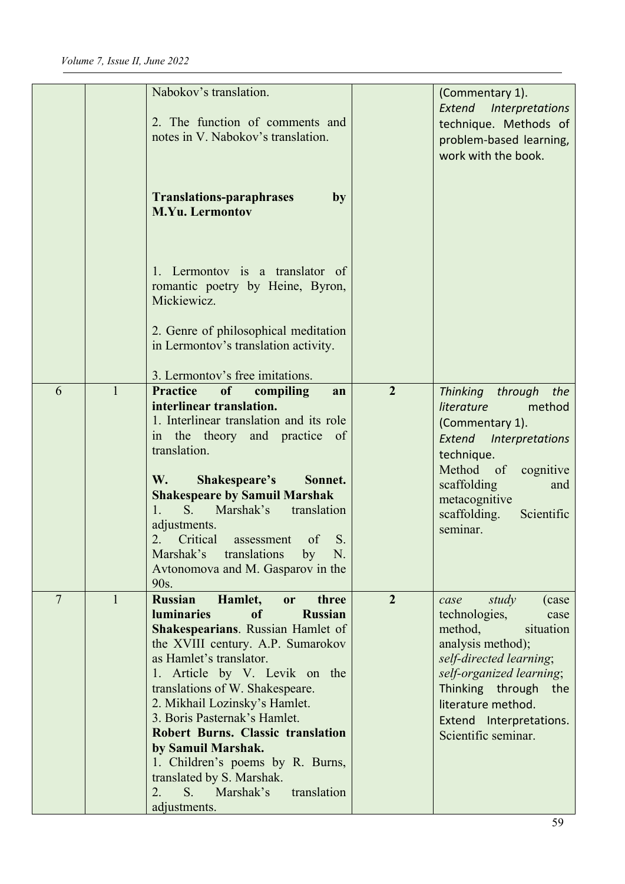|                |              | Nabokov's translation.<br>2. The function of comments and<br>notes in V. Nabokov's translation.                                                                                                                                                                                                                                                                                                                                                                                                                                            |                | (Commentary 1).<br><b>Interpretations</b><br>Extend<br>technique. Methods of<br>problem-based learning,<br>work with the book.                                                                                                                       |
|----------------|--------------|--------------------------------------------------------------------------------------------------------------------------------------------------------------------------------------------------------------------------------------------------------------------------------------------------------------------------------------------------------------------------------------------------------------------------------------------------------------------------------------------------------------------------------------------|----------------|------------------------------------------------------------------------------------------------------------------------------------------------------------------------------------------------------------------------------------------------------|
|                |              | <b>Translations-paraphrases</b><br>by<br><b>M.Yu. Lermontov</b>                                                                                                                                                                                                                                                                                                                                                                                                                                                                            |                |                                                                                                                                                                                                                                                      |
|                |              | 1. Lermontov is a translator of<br>romantic poetry by Heine, Byron,<br>Mickiewicz.                                                                                                                                                                                                                                                                                                                                                                                                                                                         |                |                                                                                                                                                                                                                                                      |
|                |              | 2. Genre of philosophical meditation<br>in Lermontov's translation activity.<br>3. Lermontov's free imitations.                                                                                                                                                                                                                                                                                                                                                                                                                            |                |                                                                                                                                                                                                                                                      |
| 6              | $\mathbf{1}$ | <b>Practice</b><br><b>of</b><br>compiling<br>an<br>interlinear translation.<br>1. Interlinear translation and its role<br>in the theory and practice of<br>translation.<br>W.<br>Shakespeare's<br>Sonnet.<br><b>Shakespeare by Samuil Marshak</b><br>1.<br>$S$ .<br>Marshak's<br>translation<br>adjustments.<br>Critical<br>2.<br>S.<br>of<br>assessment<br>N.<br>Marshak's translations<br>by<br>Avtonomova and M. Gasparov in the<br>90s.                                                                                                | $\overline{2}$ | Thinking<br>through<br>the<br>literature<br>method<br>(Commentary 1).<br>Extend Interpretations<br>technique.<br>Method of<br>cognitive<br>scaffolding<br>and<br>metacognitive<br>scaffolding.<br>Scientific<br>seminar.                             |
| $\overline{7}$ | $\mathbf{1}$ | <b>Russian</b><br>Hamlet,<br>three<br>or<br><b>Russian</b><br><b>luminaries</b><br>of<br><b>Shakespearians.</b> Russian Hamlet of<br>the XVIII century. A.P. Sumarokov<br>as Hamlet's translator.<br>1. Article by V. Levik on the<br>translations of W. Shakespeare.<br>2. Mikhail Lozinsky's Hamlet.<br>3. Boris Pasternak's Hamlet.<br><b>Robert Burns. Classic translation</b><br>by Samuil Marshak.<br>1. Children's poems by R. Burns,<br>translated by S. Marshak.<br>Marshak's<br>2.<br>$S_{\cdot}$<br>translation<br>adjustments. | $\overline{2}$ | study<br>(case)<br>case<br>technologies,<br>case<br>method,<br>situation<br>analysis method);<br>self-directed learning;<br>self-organized learning;<br>Thinking through the<br>literature method.<br>Extend Interpretations.<br>Scientific seminar. |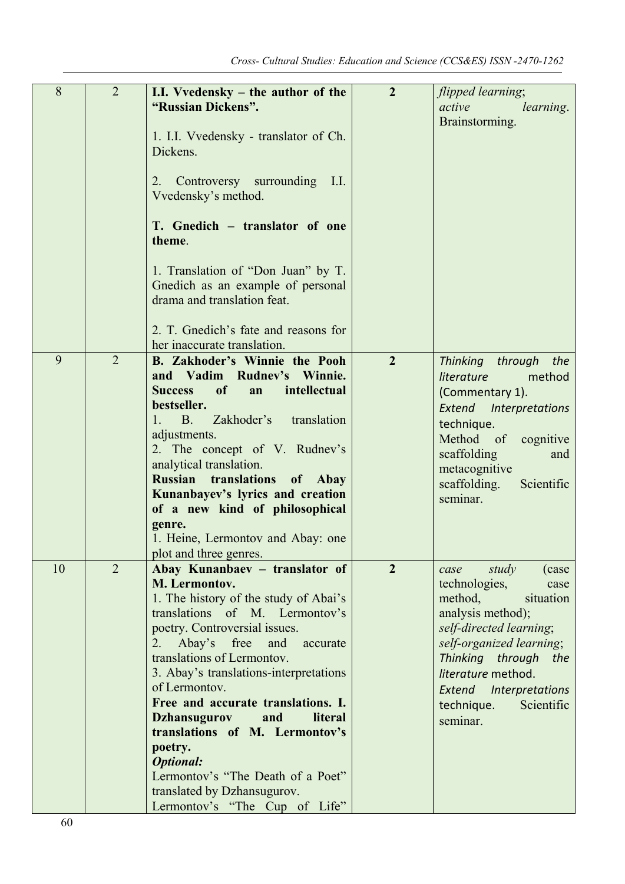| 8  | $\overline{2}$ | I.I. Vvedensky - the author of the<br>"Russian Dickens".<br>1. I.I. Vvedensky - translator of Ch.<br>Dickens.<br>Controversy surrounding I.I.<br>2.<br>Vvedensky's method.<br>T. Gnedich - translator of one<br>theme.<br>1. Translation of "Don Juan" by T.<br>Gnedich as an example of personal<br>drama and translation feat.<br>2. T. Gnedich's fate and reasons for<br>her inaccurate translation.                                                                                                                                           | $\overline{2}$ | flipped learning;<br>active<br>learning.<br>Brainstorming.                                                                                                                                                                                                              |
|----|----------------|---------------------------------------------------------------------------------------------------------------------------------------------------------------------------------------------------------------------------------------------------------------------------------------------------------------------------------------------------------------------------------------------------------------------------------------------------------------------------------------------------------------------------------------------------|----------------|-------------------------------------------------------------------------------------------------------------------------------------------------------------------------------------------------------------------------------------------------------------------------|
| 9  | $\overline{2}$ | <b>B.</b> Zakhoder's Winnie the Pooh<br>and Vadim Rudnev's Winnie.<br>of<br>intellectual<br><b>Success</b><br>an<br>bestseller.<br>Zakhoder's<br>$1. \quad B.$<br>translation<br>adjustments.<br>2. The concept of V. Rudnev's<br>analytical translation.<br><b>Russian</b> translations<br>of Abay<br>Kunanbayev's lyrics and creation<br>of a new kind of philosophical<br>genre.<br>1. Heine, Lermontov and Abay: one<br>plot and three genres.                                                                                                | $\overline{2}$ | Thinking through<br>the<br>literature<br>method<br>(Commentary 1).<br><b>Extend</b> Interpretations<br>technique.<br>Method of<br>cognitive<br>scaffolding<br>and<br>metacognitive<br>Scientific<br>scaffolding.<br>seminar.                                            |
| 10 | $\overline{2}$ | Abay Kunanbaev - translator of<br>M. Lermontov.<br>1. The history of the study of Abai's<br>translations of M. Lermontov's<br>poetry. Controversial issues.<br>Abay's free<br>and<br>2.<br>accurate<br>translations of Lermontov.<br>3. Abay's translations-interpretations<br>of Lermontov.<br>Free and accurate translations. I.<br><b>Dzhansugurov</b><br>and<br>literal<br>translations of M. Lermontov's<br>poetry.<br><b>Optional:</b><br>Lermontov's "The Death of a Poet"<br>translated by Dzhansugurov.<br>Lermontov's "The Cup of Life" | $\overline{2}$ | study<br>case<br>(case)<br>technologies,<br>case<br>method,<br>situation<br>analysis method);<br>self-directed learning;<br>self-organized learning;<br>Thinking through<br>the<br>literature method.<br>Extend Interpretations<br>Scientific<br>technique.<br>seminar. |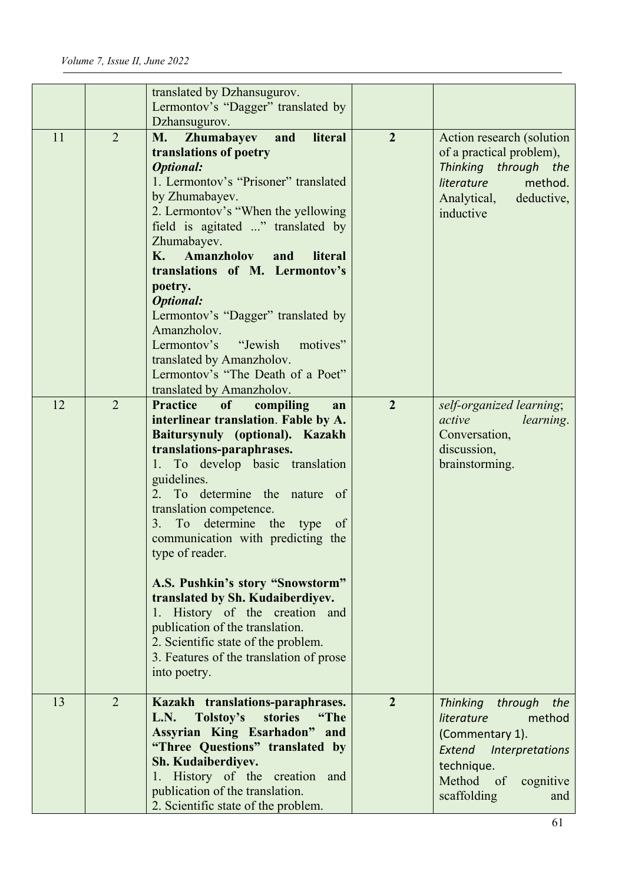|    |                | translated by Dzhansugurov.<br>Lermontov's "Dagger" translated by                                                                                                                                                                                                                                                                                                                                                                                                                                                                                                                                          |                |                                                                                                                                                                |
|----|----------------|------------------------------------------------------------------------------------------------------------------------------------------------------------------------------------------------------------------------------------------------------------------------------------------------------------------------------------------------------------------------------------------------------------------------------------------------------------------------------------------------------------------------------------------------------------------------------------------------------------|----------------|----------------------------------------------------------------------------------------------------------------------------------------------------------------|
|    |                | Dzhansugurov.                                                                                                                                                                                                                                                                                                                                                                                                                                                                                                                                                                                              |                |                                                                                                                                                                |
| 11 | $\overline{2}$ | and<br>literal<br>Zhumabayev<br><b>M.</b><br>translations of poetry<br><b>Optional:</b><br>1. Lermontov's "Prisoner" translated<br>by Zhumabayev.<br>2. Lermontov's "When the yellowing<br>field is agitated " translated by<br>Zhumabayev.<br>K.<br><b>Amanzholov</b><br>literal<br>and<br>translations of M. Lermontov's<br>poetry.<br><b>Optional:</b><br>Lermontov's "Dagger" translated by<br>Amanzholov.<br>motives"<br>Lermontov's<br>"Jewish"<br>translated by Amanzholov.<br>Lermontov's "The Death of a Poet"<br>translated by Amanzholov.                                                       | $\overline{2}$ | Action research (solution<br>of a practical problem),<br>Thinking through the<br><i>literature</i><br>method.<br>Analytical, deductive,<br>inductive           |
| 12 | $\overline{2}$ | <b>Practice</b><br>compiling<br>of<br>an<br>interlinear translation. Fable by A.<br>Baitursynuly (optional). Kazakh<br>translations-paraphrases.<br>1. To develop basic translation<br>guidelines.<br>To determine the nature of<br>2.<br>translation competence.<br>3. To determine the type<br>of<br>communication with predicting the<br>type of reader.<br>A.S. Pushkin's story "Snowstorm"<br>translated by Sh. Kudaiberdiyev.<br>1. History of the creation and<br>publication of the translation.<br>2. Scientific state of the problem.<br>3. Features of the translation of prose<br>into poetry. | $\overline{2}$ | self-organized learning;<br>active<br>learning.<br>Conversation,<br>discussion,<br>brainstorming.                                                              |
| 13 | 2              | Kazakh translations-paraphrases.<br>Tolstoy's<br>stories<br>"The<br>L.N.<br><b>Assyrian King Esarhadon"</b><br>and<br>"Three Questions" translated by<br>Sh. Kudaiberdiyev.<br>1. History of the creation<br>and<br>publication of the translation.<br>2. Scientific state of the problem.                                                                                                                                                                                                                                                                                                                 | $\overline{2}$ | Thinking through the<br>literature<br>method<br>(Commentary 1).<br><b>Extend</b> Interpretations<br>technique.<br>Method of<br>cognitive<br>scaffolding<br>and |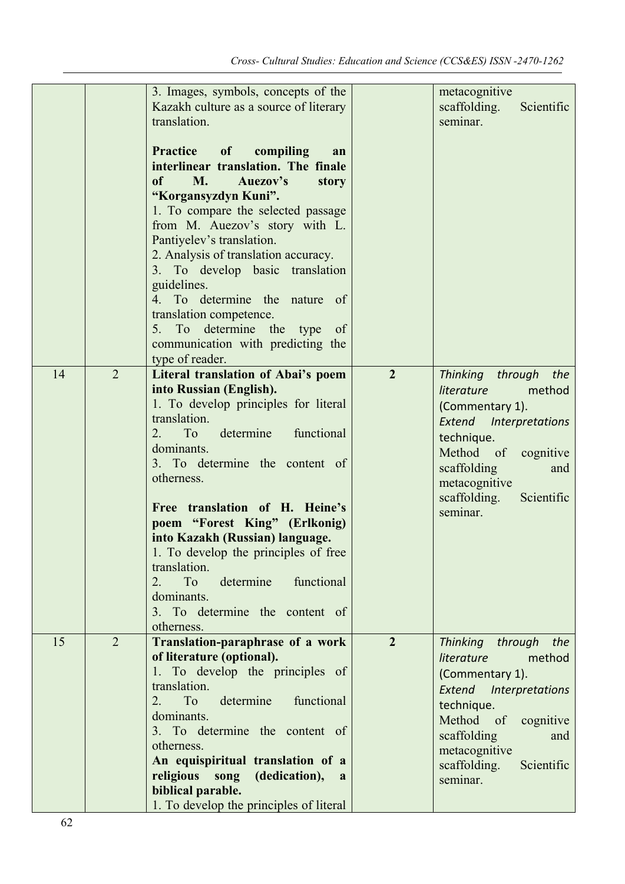|    |                | 3. Images, symbols, concepts of the<br>Kazakh culture as a source of literary<br>translation.<br>Practice of compiling<br>an<br>interlinear translation. The finale<br><b>M.</b><br>of<br>Auezov's<br>story<br>"Korgansyzdyn Kuni".<br>1. To compare the selected passage<br>from M. Auezov's story with L.<br>Pantiyelev's translation.<br>2. Analysis of translation accuracy.<br>3. To develop basic translation<br>guidelines.<br>4. To determine the nature of<br>translation competence.<br>To determine the type<br>5.<br>of<br>communication with predicting the<br>type of reader. |                | metacognitive<br>scaffolding.<br>Scientific<br>seminar.                                                                                                                                                                              |
|----|----------------|---------------------------------------------------------------------------------------------------------------------------------------------------------------------------------------------------------------------------------------------------------------------------------------------------------------------------------------------------------------------------------------------------------------------------------------------------------------------------------------------------------------------------------------------------------------------------------------------|----------------|--------------------------------------------------------------------------------------------------------------------------------------------------------------------------------------------------------------------------------------|
| 14 | $\overline{2}$ | <b>Literal translation of Abai's poem</b><br>into Russian (English).<br>1. To develop principles for literal<br>translation.<br>determine<br>functional<br>2.<br>To<br>dominants.<br>3. To determine the content of<br>otherness.<br>Free translation of H. Heine's<br>poem "Forest King" (Erlkonig)<br>into Kazakh (Russian) language.<br>1. To develop the principles of free<br>translation.<br>To<br>functional<br>2.<br>determine<br>dominants.<br>3. To determine the content of<br>otherness.                                                                                        | $\overline{2}$ | Thinking through the<br>literature<br>method<br>(Commentary 1).<br><b>Extend</b> Interpretations<br>technique.<br>Method<br>$\circ$ of<br>cognitive<br>scaffolding<br>and<br>metacognitive<br>Scientific<br>scaffolding.<br>seminar. |
| 15 | $\overline{2}$ | Translation-paraphrase of a work<br>of literature (optional).<br>1. To develop the principles of<br>translation.<br>To<br>determine<br>functional<br>2.<br>dominants.<br>3. To determine the content of<br>otherness.<br>An equispiritual translation of a<br>religious<br>song<br>(dedication),<br>a<br>biblical parable.<br>1. To develop the principles of literal                                                                                                                                                                                                                       | $\overline{2}$ | Thinking through the<br>literature<br>method<br>(Commentary 1).<br>Extend Interpretations<br>technique.<br>Method of<br>cognitive<br>scaffolding<br>and<br>metacognitive<br>scaffolding.<br>Scientific<br>seminar.                   |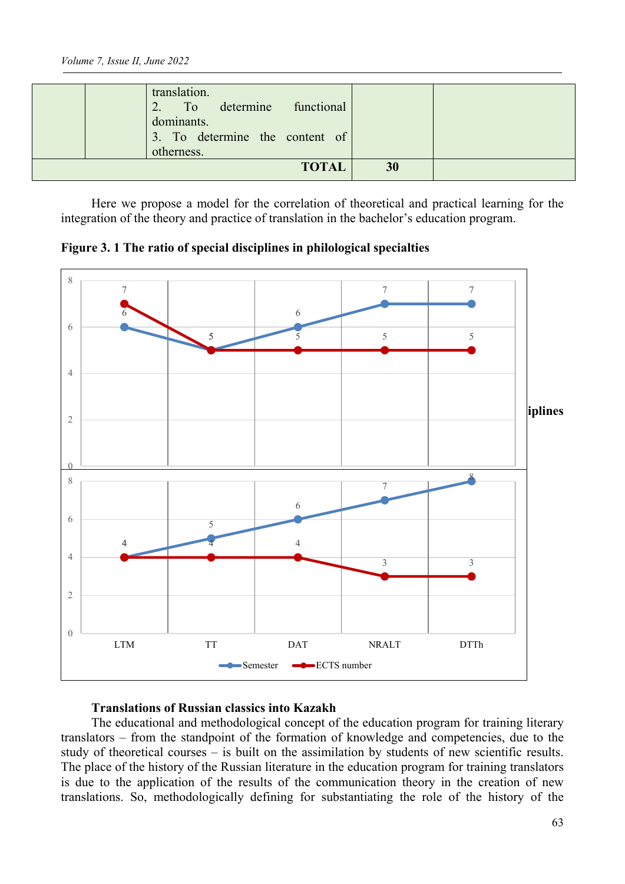|  | dominants.<br>3. To determine the content of<br>otherness.<br><b>TOTAL</b> | 30 |  |
|--|----------------------------------------------------------------------------|----|--|
|  | translation.<br>2. To determine functional                                 |    |  |

Here we propose a model for the correlation of theoretical and practical learning for the integration of the theory and practice of translation in the bachelor's education program.

**Figure 3. 1 The ratio of special disciplines in philological specialties**



### **Translations of Russian classics into Kazakh**

The educational and methodological concept of the education program for training literary translators – from the standpoint of the formation of knowledge and competencies, due to the study of theoretical courses – is built on the assimilation by students of new scientific results. The place of the history of the Russian literature in the education program for training translators is due to the application of the results of the communication theory in the creation of new translations. So, methodologically defining for substantiating the role of the history of the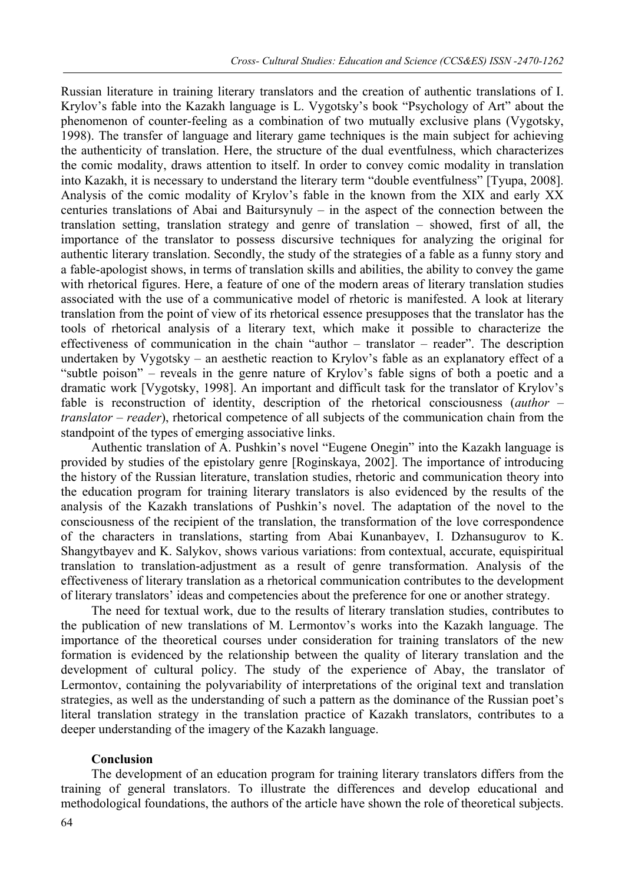Russian literature in training literary translators and the creation of authentic translations of I. Krylov's fable into the Kazakh language is L. Vygotsky's book "Psychology of Art" about the phenomenon of counter-feeling as a combination of two mutually exclusive plans (Vygotsky, 1998). The transfer of language and literary game techniques is the main subject for achieving the authenticity of translation. Here, the structure of the dual eventfulness, which characterizes the comic modality, draws attention to itself. In order to convey comic modality in translation into Kazakh, it is necessary to understand the literary term "double eventfulness" [Tyupa, 2008]. Analysis of the comic modality of Krylov's fable in the known from the XIX and early XX centuries translations of Abai and Baitursynuly – in the aspect of the connection between the translation setting, translation strategy and genre of translation – showed, first of all, the importance of the translator to possess discursive techniques for analyzing the original for authentic literary translation. Secondly, the study of the strategies of a fable as a funny story and a fable-apologist shows, in terms of translation skills and abilities, the ability to convey the game with rhetorical figures. Here, a feature of one of the modern areas of literary translation studies associated with the use of a communicative model of rhetoric is manifested. A look at literary translation from the point of view of its rhetorical essence presupposes that the translator has the tools of rhetorical analysis of a literary text, which make it possible to characterize the effectiveness of communication in the chain "author – translator – reader". The description undertaken by Vygotsky – an aesthetic reaction to Krylov's fable as an explanatory effect of a "subtle poison" – reveals in the genre nature of Krylov's fable signs of both a poetic and a dramatic work [Vygotsky, 1998]. An important and difficult task for the translator of Krylov's fable is reconstruction of identity, description of the rhetorical consciousness (*author – translator – reader*), rhetorical competence of all subjects of the communication chain from the standpoint of the types of emerging associative links.

Authentic translation of A. Pushkin's novel "Eugene Onegin" into the Kazakh language is provided by studies of the epistolary genre [Roginskaya, 2002]. The importance of introducing the history of the Russian literature, translation studies, rhetoric and communication theory into the education program for training literary translators is also evidenced by the results of the analysis of the Kazakh translations of Pushkin's novel. The adaptation of the novel to the consciousness of the recipient of the translation, the transformation of the love correspondence of the characters in translations, starting from Abai Kunanbayev, I. Dzhansugurov to K. Shangytbayev and K. Salykov, shows various variations: from contextual, accurate, equispiritual translation to translation-adjustment as a result of genre transformation. Analysis of the effectiveness of literary translation as a rhetorical communication contributes to the development of literary translators' ideas and competencies about the preference for one or another strategy.

The need for textual work, due to the results of literary translation studies, contributes to the publication of new translations of M. Lermontov's works into the Kazakh language. The importance of the theoretical courses under consideration for training translators of the new formation is evidenced by the relationship between the quality of literary translation and the development of cultural policy. The study of the experience of Abay, the translator of Lermontov, containing the polyvariability of interpretations of the original text and translation strategies, as well as the understanding of such a pattern as the dominance of the Russian poet's literal translation strategy in the translation practice of Kazakh translators, contributes to a deeper understanding of the imagery of the Kazakh language.

### **Conclusion**

The development of an education program for training literary translators differs from the training of general translators. To illustrate the differences and develop educational and methodological foundations, the authors of the article have shown the role of theoretical subjects.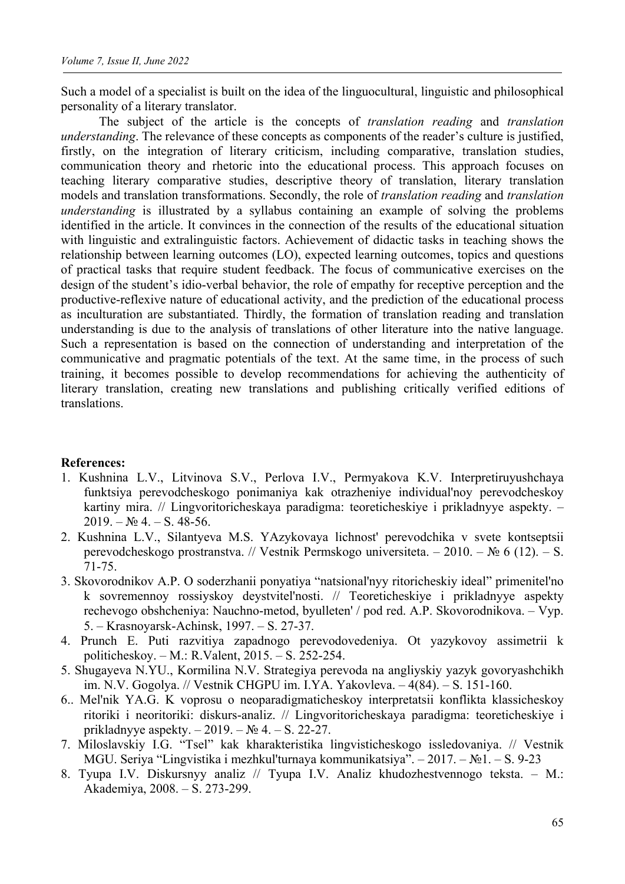Such a model of a specialist is built on the idea of the linguocultural, linguistic and philosophical personality of a literary translator.

The subject of the article is the concepts of *translation reading* and *translation understanding*. The relevance of these concepts as components of the reader's culture is justified, firstly, on the integration of literary criticism, including comparative, translation studies, communication theory and rhetoric into the educational process. This approach focuses on teaching literary comparative studies, descriptive theory of translation, literary translation models and translation transformations. Secondly, the role of *translation reading* and *translation understanding* is illustrated by a syllabus containing an example of solving the problems identified in the article. It convinces in the connection of the results of the educational situation with linguistic and extralinguistic factors. Achievement of didactic tasks in teaching shows the relationship between learning outcomes (LO), expected learning outcomes, topics and questions of practical tasks that require student feedback. The focus of communicative exercises on the design of the student's idio-verbal behavior, the role of empathy for receptive perception and the productive-reflexive nature of educational activity, and the prediction of the educational process as inculturation are substantiated. Thirdly, the formation of translation reading and translation understanding is due to the analysis of translations of other literature into the native language. Such a representation is based on the connection of understanding and interpretation of the communicative and pragmatic potentials of the text. At the same time, in the process of such training, it becomes possible to develop recommendations for achieving the authenticity of literary translation, creating new translations and publishing critically verified editions of translations.

#### **References:**

- 1. Kushnina L.V., Litvinova S.V., Perlova I.V., Permyakova K.V. Interpretiruyushchaya funktsiya perevodcheskogo ponimaniya kak otrazheniye individual'noy perevodcheskoy kartiny mira. // Lingvoritoricheskaya paradigma: teoreticheskiye i prikladnyye aspekty. –  $2019. - N<sub>2</sub> 4. - S. 48-56.$
- 2. Kushnina L.V., Silantyeva M.S. YAzykovaya lichnost' perevodchika v svete kontseptsii perevodcheskogo prostranstva. // Vestnik Permskogo universiteta. – 2010. – № 6 (12). – S. 71-75.
- 3. Skovorodnikov A.P. O soderzhanii ponyatiya "natsional'nyy ritoricheskiy ideal" primenitel'no k sovremennoy rossiyskoy deystvitel'nosti. // Teoreticheskiye i prikladnyye aspekty rechevogo obshcheniya: Nauchno-metod, byulleten' / pod red. A.P. Skovorodnikova. – Vyp. 5. – Krasnoyarsk-Achinsk, 1997. – S. 27-37.
- 4. Prunch E. Puti razvitiya zapadnogo perevodovedeniya. Ot yazykovoy assimetrii k politicheskoy. – M.: R.Valent, 2015. – S. 252-254.
- 5. Shugayeva N.YU., Kormilina N.V. Strategiya perevoda na angliyskiy yazyk govoryashchikh im. N.V. Gogolya. // Vestnik CHGPU im. I.YA. Yakovleva. – 4(84). – S. 151-160.
- 6.. Mel'nik YA.G. K voprosu o neoparadigmaticheskoy interpretatsii konflikta klassicheskoy ritoriki i neoritoriki: diskurs-analiz. // Lingvoritoricheskaya paradigma: teoreticheskiye i prikladnyye aspekty. – 2019. – № 4. – S. 22-27.
- 7. Miloslavskiy I.G. "Tsel" kak kharakteristika lingvisticheskogo issledovaniya. // Vestnik MGU. Seriya "Lingvistika i mezhkul'turnaya kommunikatsiya". – 2017. – №1. – S. 9-23
- 8. Tyupa I.V. Diskursnyy analiz // Tyupa I.V. Analiz khudozhestvennogo teksta. M.: Akademiya, 2008. – S. 273-299.